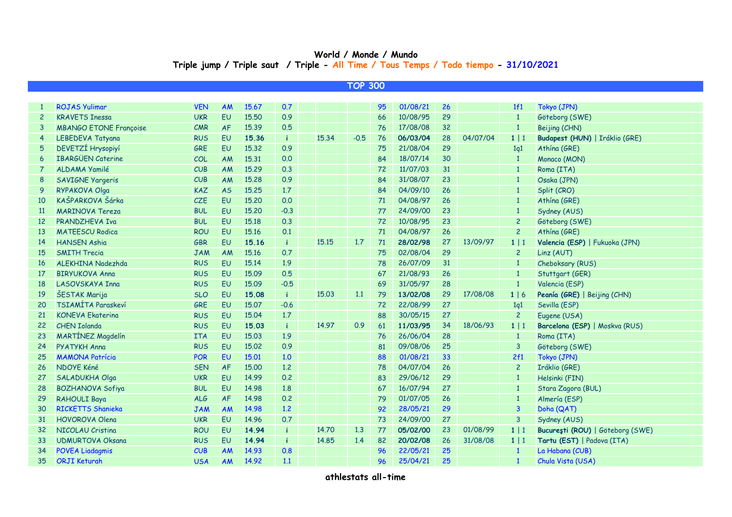## **World / Monde / Mundo Triple jump / Triple saut / Triple - All Time / Tous Temps / Todo tiempo - 31/10/2021**

| <b>TOP 300</b>  |                               |            |           |       |              |       |        |    |          |                 |          |                |                                  |
|-----------------|-------------------------------|------------|-----------|-------|--------------|-------|--------|----|----------|-----------------|----------|----------------|----------------------------------|
|                 |                               |            |           |       |              |       |        |    |          |                 |          |                |                                  |
| 1               | <b>ROJAS Yulimar</b>          | <b>VEN</b> | AM        | 15.67 | 0.7          |       |        | 95 | 01/08/21 | 26              |          | 1f1            | Tokyo (JPN)                      |
| $\overline{c}$  | <b>KRAVETS Inessa</b>         | <b>UKR</b> | <b>EU</b> | 15,50 | 0.9          |       |        | 66 | 10/08/95 | 29              |          | $\mathbf{1}$   | Göteborg (SWE)                   |
| 3               | <b>MBANGO ETONE Françoise</b> | CMR        | AF        | 15.39 | 0.5          |       |        | 76 | 17/08/08 | 32 <sup>2</sup> |          | $\mathbf{1}$   | Beijing (CHN)                    |
| 4               | LEBEDEVA Tatyana              | <b>RUS</b> | <b>EU</b> | 15.36 | -i.          | 15.34 | $-0.5$ | 76 | 06/03/04 | 28              | 04/07/04 | $1 \mid 1$     | Budapest (HUN)   Iráklio (GRE)   |
| 5               | DEVETZÍ Hrysopiyí             | GRE        | <b>EU</b> | 15.32 | 0.9          |       |        | 75 | 21/08/04 | 29              |          | 1q1            | Athína (GRE)                     |
| 6               | <b>IBARGÜEN Caterine</b>      | COL        | <b>AM</b> | 15.31 | 0.0          |       |        | 84 | 18/07/14 | 30              |          | $\mathbf{1}$   | Monaco (MON)                     |
|                 | ALDAMA Yamilé                 | CUB        | <b>AM</b> | 15.29 | 0.3          |       |        | 72 | 11/07/03 | 31              |          | $\mathbf{1}$   | Roma (ITA)                       |
| 8               | <b>SAVIGNE Yargeris</b>       | CUB        | <b>AM</b> | 15.28 | 0.9          |       |        | 84 | 31/08/07 | 23              |          | $\overline{1}$ | Osaka (JPN)                      |
| 9               | RYPAKOVA Olga                 | <b>KAZ</b> | <b>AS</b> | 15.25 | 1.7          |       |        | 84 | 04/09/10 | 26              |          | $\overline{1}$ | Split (CRO)                      |
| 10              | KAŠPARKOVA Šárka              | CZE        | EU        | 15,20 | 0.0          |       |        | 71 | 04/08/97 | 26              |          | $\mathbf{1}$   | Athína (GRE)                     |
| <b>11</b>       | <b>MARINOVA Tereza</b>        | <b>BUL</b> | <b>EU</b> | 15.20 | $-0.3$       |       |        | 77 | 24/09/00 | 23              |          | $\overline{1}$ | Sydney (AUS)                     |
| 12 <sup>2</sup> | PRANDZHEVA Iva                | <b>BUL</b> | EU        | 15.18 | 0.3          |       |        | 72 | 10/08/95 | 23              |          | $\overline{c}$ | Göteborg (SWE)                   |
| 13              | <b>MATEESCU Rodica</b>        | <b>ROU</b> | <b>EU</b> | 15.16 | 0.1          |       |        | 71 | 04/08/97 | 26              |          | $\overline{c}$ | Athína (GRE)                     |
| 14              | <b>HANSEN Ashia</b>           | <b>GBR</b> | <b>EU</b> | 15.16 | -i.          | 15.15 | 1.7    | 71 | 28/02/98 | 27              | 13/09/97 | $1 \mid 1$     | Valencia (ESP)   Fukuoka (JPN)   |
| 15              | <b>SMITH Trecia</b>           | <b>JAM</b> | <b>AM</b> | 15.16 | 0.7          |       |        | 75 | 02/08/04 | 29              |          | $\overline{2}$ | Linz (AUT)                       |
| 16              | <b>ALEKHINA Nadezhda</b>      | <b>RUS</b> | <b>EU</b> | 15.14 | 1.9          |       |        | 78 | 26/07/09 | 31              |          | $\mathbf{1}$   | Cheboksary (RUS)                 |
| 17              | <b>BIRYUKOVA Anna</b>         | <b>RUS</b> | <b>EU</b> | 15.09 | 0.5          |       |        | 67 | 21/08/93 | 26              |          | $\overline{1}$ | Stuttgart (GER)                  |
| 18              | LASOVSKAYA Inna               | <b>RUS</b> | <b>EU</b> | 15.09 | $-0.5$       |       |        | 69 | 31/05/97 | 28              |          | $\overline{1}$ | Valencia (ESP)                   |
| 19              | ŠESTAK Marija                 | <b>SLO</b> | EU        | 15.08 | j.           | 15.03 | 1.1    | 79 | 13/02/08 | 29              | 17/08/08 | 1   6          | Peanía (GRE)   Beijing (CHN)     |
| 20              | TSIAMÍTA Paraskeví            | GRE        | <b>EU</b> | 15.07 | $-0.6$       |       |        | 72 | 22/08/99 | 27              |          | 1q1            | Sevilla (ESP)                    |
| 21              | <b>KONEVA Ekaterina</b>       | <b>RUS</b> | EU        | 15.04 | 1.7          |       |        | 88 | 30/05/15 | 27              |          | $\overline{c}$ | Eugene (USA)                     |
| 22              | <b>CHEN Iolanda</b>           | <b>RUS</b> | EU        | 15.03 | j.           | 14.97 | 0.9    | 61 | 11/03/95 | 34              | 18/06/93 | $1 \mid 1$     | Barcelona (ESP)   Moskva (RUS)   |
| 23              | MARTÍNEZ Magdelín             | <b>ITA</b> | <b>EU</b> | 15.03 | 1.9          |       |        | 76 | 26/06/04 | 28              |          | $\mathbf{1}$   | Roma (ITA)                       |
| 24              | <b>PYATYKH Anna</b>           | <b>RUS</b> | EU        | 15.02 | 0.9          |       |        | 81 | 09/08/06 | 25              |          | 3              | Göteborg (SWE)                   |
| 25              | <b>MAMONA Patrícia</b>        | <b>POR</b> | EU        | 15.01 | 1.0          |       |        | 88 | 01/08/21 | 33              |          | 2f1            | Tokyo (JPN)                      |
| 26              | NDOYE Kéné                    | <b>SEN</b> | AF        | 15.00 | 1.2          |       |        | 78 | 04/07/04 | 26              |          | $\overline{c}$ | Iráklio (GRE)                    |
| 27              | <b>SALADUKHA Olga</b>         | <b>UKR</b> | <b>EU</b> | 14.99 | 0.2          |       |        | 83 | 29/06/12 | 29              |          | $\mathbf{1}$   | Helsinki (FIN)                   |
| 28              | <b>BOZHANOVA Sofiya</b>       | <b>BUL</b> | EU        | 14.98 | 1.8          |       |        | 67 | 16/07/94 | 27              |          | $\mathbf{1}$   | Stara Zagora (BUL)               |
| 29              | <b>RAHOULI Baya</b>           | <b>ALG</b> | AF        | 14.98 | 0.2          |       |        | 79 | 01/07/05 | 26              |          | $\mathbf{1}$   | Almería (ESP)                    |
| 30              | <b>RICKETTS Shanieka</b>      | <b>JAM</b> | AM        | 14.98 | 1.2          |       |        | 92 | 28/05/21 | 29              |          | $\mathbf{3}$   | Doha (QAT)                       |
| 31              | <b>HOVOROVA Olena</b>         | <b>UKR</b> | <b>EU</b> | 14.96 | 0.7          |       |        | 73 | 24/09/00 | 27              |          | 3              | Sydney (AUS)                     |
| 32              | NICOLAU Cristina              | <b>ROU</b> | EU        | 14.94 | $\mathbf{i}$ | 14.70 | 1.3    | 77 | 05/02/00 | 23              | 01/08/99 | $1 \mid 1$     | București (ROU)   Göteborg (SWE) |
| 33              | <b>UDMURTOVA Oksana</b>       | <b>RUS</b> | EU        | 14.94 | $\mathbf i$  | 14.85 | 1.4    | 82 | 20/02/08 | 26              | 31/08/08 | $1 \mid 1$     | Tartu (EST)   Padova (ITA)       |
| 34              | <b>POVEA Liadagmis</b>        | CUB        | AM        | 14.93 | 0.8          |       |        | 96 | 22/05/21 | 25              |          | $\mathbf{1}$   | La Habana (CUB)                  |
| 35              | <b>ORJI Keturah</b>           | <b>USA</b> | AM        | 14.92 | 1.1          |       |        | 96 | 25/04/21 | 25              |          |                | Chula Vista (USA)                |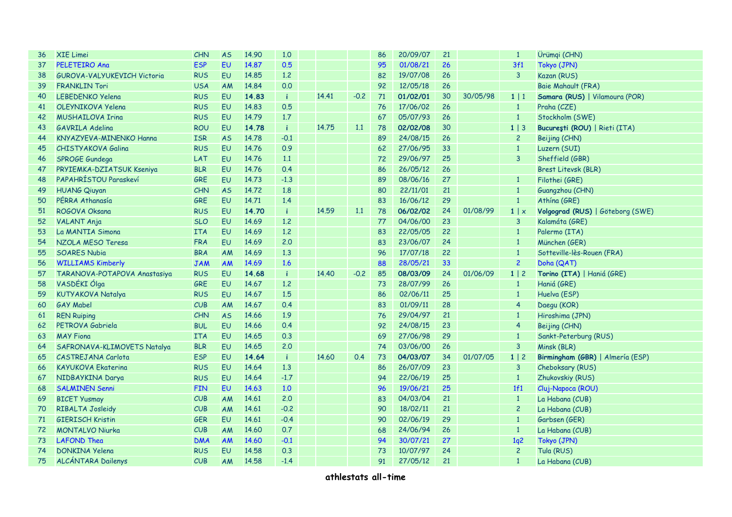| 36 | <b>XIE Limei</b>                   | CHN        | <b>AS</b> | 14.90 | 1,0          |       |        | 86 | 20/09/07 | 21 |          | $\mathbf{1}$    | Ürümqi (CHN)                     |
|----|------------------------------------|------------|-----------|-------|--------------|-------|--------|----|----------|----|----------|-----------------|----------------------------------|
| 37 | <b>PELETEIRO Ana</b>               | <b>ESP</b> | EU        | 14.87 | 0.5          |       |        | 95 | 01/08/21 | 26 |          | 3f1             | Tokyo (JPN)                      |
| 38 | <b>GUROVA-VALYUKEVICH Victoria</b> | <b>RUS</b> | EU        | 14.85 | 1.2          |       |        | 82 | 19/07/08 | 26 |          | $\overline{3}$  | Kazan (RUS)                      |
| 39 | <b>FRANKLIN Tori</b>               | <b>USA</b> | AM        | 14.84 | 0.0          |       |        | 92 | 12/05/18 | 26 |          |                 | Baie Mahault (FRA)               |
| 40 | <b>LEBEDENKO Yelena</b>            | <b>RUS</b> | EU        | 14.83 | -i.          | 14.41 | $-0.2$ | 71 | 01/02/01 | 30 | 30/05/98 | $1 \mid 1$      | Samara (RUS)   Vilamoura (POR)   |
| 41 | OLEYNIKOVA Yelena                  | <b>RUS</b> | EU        | 14.83 | 0.5          |       |        | 76 | 17/06/02 | 26 |          | $\mathbf{1}$    | Praha (CZE)                      |
| 42 | <b>MUSHAILOVA Irina</b>            | <b>RUS</b> | EU        | 14.79 | 1.7          |       |        | 67 | 05/07/93 | 26 |          | $\mathbf{1}$    | Stockholm (SWE)                  |
| 43 | <b>GAVRILA Adelina</b>             | <b>ROU</b> | EU        | 14.78 | $\mathbf i$  | 14.75 | 1.1    | 78 | 02/02/08 | 30 |          | $1 \mid 3$      | București (ROU)   Rieti (ITA)    |
| 44 | KNYAZYEVA-MINENKO Hanna            | <b>ISR</b> | <b>AS</b> | 14.78 | $-0.1$       |       |        | 89 | 24/08/15 | 26 |          | $\overline{2}$  | Beijing (CHN)                    |
| 45 | CHISTYAKOVA Galina                 | <b>RUS</b> | EU        | 14.76 | 0.9          |       |        | 62 | 27/06/95 | 33 |          | $\mathbf{1}$    | Luzern (SUI)                     |
| 46 | SPROGE Gundega                     | LAT        | EU        | 14.76 | 1.1          |       |        | 72 | 29/06/97 | 25 |          | 3               | Sheffield (GBR)                  |
| 47 | PRYIEMKA-DZIATSUK Kseniya          | <b>BLR</b> | EU        | 14.76 | 0.4          |       |        | 86 | 26/05/12 | 26 |          |                 | Brest Litevsk (BLR)              |
| 48 | PAPAHRÍSTOU Paraskeví              | GRE        | EU        | 14.73 | $-1.3$       |       |        | 89 | 08/06/16 | 27 |          | $\mathbf{1}$    | Filothei (GRE)                   |
| 49 | <b>HUANG Qiuyan</b>                | CHN        | <b>AS</b> | 14.72 | 1.8          |       |        | 80 | 22/11/01 | 21 |          | $\mathbf{1}$    | Guangzhou (CHN)                  |
| 50 | PÉRRA Athanasía                    | <b>GRE</b> | EU        | 14.71 | 1.4          |       |        | 83 | 16/06/12 | 29 |          | $\mathbf{1}$    | Athína (GRE)                     |
| 51 | ROGOVA Oksana                      | <b>RUS</b> | EU        | 14.70 | $\mathbf{i}$ | 14.59 | 1.1    | 78 | 06/02/02 | 24 | 01/08/99 | 1   x           | Volgograd (RUS)   Göteborg (SWE) |
| 52 | <b>VALANT Anja</b>                 | <b>SLO</b> | EU        | 14.69 | 1.2          |       |        | 77 | 04/06/00 | 23 |          | $\overline{3}$  | Kalamáta (GRE)                   |
| 53 | La MANTIA Simona                   | <b>ITA</b> | EU        | 14.69 | 1.2          |       |        | 83 | 22/05/05 | 22 |          | $\mathbf{1}$    | Palermo (ITA)                    |
| 54 | NZOLA MESO Teresa                  | <b>FRA</b> | EU        | 14.69 | 2.0          |       |        | 83 | 23/06/07 | 24 |          | $\mathbf{1}$    | München (GER)                    |
| 55 | <b>SOARES Nubia</b>                | <b>BRA</b> | AM        | 14.69 | 1.3          |       |        | 96 | 17/07/18 | 22 |          | $1\,$           | Sotteville-lès-Rouen (FRA)       |
| 56 | <b>WILLIAMS Kimberly</b>           | <b>JAM</b> | <b>AM</b> | 14.69 | 1.6          |       |        | 88 | 28/05/21 | 33 |          | $\overline{c}$  | Doha (QAT)                       |
| 57 | TARANOVA-POTAPOVA Anastasiya       | <b>RUS</b> | EU        | 14.68 | $\mathbf{i}$ | 14,40 | $-0.2$ | 85 | 08/03/09 | 24 | 01/06/09 | $1 \mid 2$      | Torino (ITA)   Haniá (GRE)       |
| 58 | VASDÉKI Ólga                       | <b>GRE</b> | EU        | 14.67 | 1.2          |       |        | 73 | 28/07/99 | 26 |          | $\mathbf{1}$    | Haniá (GRE)                      |
| 59 | <b>KUTYAKOVA Natalya</b>           | <b>RUS</b> | EU        | 14.67 | 1.5          |       |        | 86 | 02/06/11 | 25 |          | $\mathbf{1}$    | Huelva (ESP)                     |
| 60 | <b>GAY Mabel</b>                   | CUB        | AM        | 14.67 | 0.4          |       |        | 83 | 01/09/11 | 28 |          | $\overline{4}$  | Daegu (KOR)                      |
| 61 | <b>REN Ruiping</b>                 | CHN        | <b>AS</b> | 14.66 | 1.9          |       |        | 76 | 29/04/97 | 21 |          | $\mathbf{1}$    | Hiroshima (JPN)                  |
| 62 | PETROVA Gabriela                   | <b>BUL</b> | EU        | 14.66 | 0.4          |       |        | 92 | 24/08/15 | 23 |          | $\overline{4}$  | Beijing (CHN)                    |
| 63 | <b>MAY Fiona</b>                   | <b>ITA</b> | EU        | 14.65 | 0.3          |       |        | 69 | 27/06/98 | 29 |          | $\mathbf{1}$    | Sankt-Peterburg (RUS)            |
| 64 | SAFRONAVA-KLIMOVETS Natalya        | <b>BLR</b> | EU        | 14.65 | 2.0          |       |        | 74 | 03/06/00 | 26 |          | $\overline{3}$  | Minsk (BLR)                      |
| 65 | CASTREJANA Carlota                 | <b>ESP</b> | EU        | 14.64 | -i.          | 14,60 | 0.4    | 73 | 04/03/07 | 34 | 01/07/05 | $1 \mid 2$      | Birmingham (GBR)   Almería (ESP) |
| 66 | <b>KAYUKOVA Ekaterina</b>          | <b>RUS</b> | EU        | 14.64 | 1.3          |       |        | 86 | 26/07/09 | 23 |          | $\overline{3}$  | Cheboksary (RUS)                 |
| 67 | NIDBAYKINA Darya                   | <b>RUS</b> | EU        | 14.64 | $-1.7$       |       |        | 94 | 22/06/19 | 25 |          | $\mathbf{1}$    | Zhukovskiy (RUS)                 |
| 68 | <b>SALMINEN Senni</b>              | <b>FIN</b> | EU        | 14.63 | 1.0          |       |        | 96 | 19/06/21 | 25 |          | 1f1             | Cluj-Napoca (ROU)                |
| 69 | <b>BICET Yusmay</b>                | CUB        | AM        | 14.61 | 2.0          |       |        | 83 | 04/03/04 | 21 |          | $\mathbf{1}$    | La Habana (CUB)                  |
| 70 | RIBALTA Josleidy                   | CUB        | AM        | 14.61 | $-0.2$       |       |        | 90 | 18/02/11 | 21 |          | $\overline{c}$  | La Habana (CUB)                  |
| 71 | <b>GIERISCH Kristin</b>            | GER        | EU        | 14.61 | $-0.4$       |       |        | 90 | 02/06/19 | 29 |          | $\mathbf{1}$    | Garbsen (GER)                    |
| 72 | <b>MONTALVO Niurka</b>             | CUB        | <b>AM</b> | 14.60 | 0.7          |       |        | 68 | 24/06/94 | 26 |          | $1\,$           | La Habana (CUB)                  |
| 73 | <b>LAFOND Thea</b>                 | <b>DMA</b> | <b>AM</b> | 14.60 | $-0.1$       |       |        | 94 | 30/07/21 | 27 |          | 1q <sup>2</sup> | Tokyo (JPN)                      |
| 74 | <b>DONKINA Yelena</b>              | <b>RUS</b> | EU        | 14.58 | 0.3          |       |        | 73 | 10/07/97 | 24 |          | $\overline{c}$  | Tula (RUS)                       |
| 75 | <b>ALCÁNTARA Dailenys</b>          | CUB        | AM        | 14.58 | $-1.4$       |       |        | 91 | 27/05/12 | 21 |          | $\mathbf{1}$    | La Habana (CUB)                  |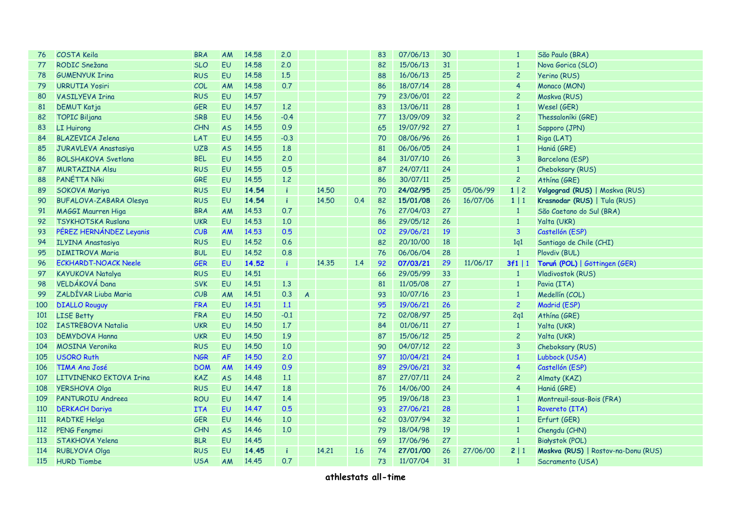| 76         | COSTA Keila                   | <b>BRA</b> | AM        | 14.58 | 2,0          |                |       |     | 83 | 07/06/13 | 30 |          | $\mathbf{1}$            | São Paulo (BRA)                     |
|------------|-------------------------------|------------|-----------|-------|--------------|----------------|-------|-----|----|----------|----|----------|-------------------------|-------------------------------------|
| 77         | RODIC Snežana                 | <b>SLO</b> | EU        | 14.58 | 2.0          |                |       |     | 82 | 15/06/13 | 31 |          | $\mathbf{1}$            | Nova Gorica (SLO)                   |
| 78         | <b>GUMENYUK Irina</b>         | <b>RUS</b> | EU        | 14.58 | 1.5          |                |       |     | 88 | 16/06/13 | 25 |          | $\overline{c}$          | Yerino (RUS)                        |
| 79         | <b>URRUTIA Yosiri</b>         | COL        | AM        | 14.58 | 0.7          |                |       |     | 86 | 18/07/14 | 28 |          | $\overline{4}$          | Monaco (MON)                        |
| 80         | <b>VASILYEVA Irina</b>        | <b>RUS</b> | EU        | 14.57 |              |                |       |     | 79 | 23/06/01 | 22 |          | $\overline{c}$          | Moskva (RUS)                        |
| 81         | <b>DEMUT Katja</b>            | GER        | EU        | 14.57 | 1.2          |                |       |     | 83 | 13/06/11 | 28 |          | $\mathbf{1}$            | Wesel (GER)                         |
| 82         | <b>TOPIC Biljana</b>          | <b>SRB</b> | EU        | 14.56 | $-0.4$       |                |       |     | 77 | 13/09/09 | 32 |          | $\overline{c}$          | Thessaloníki (GRE)                  |
| 83         | <b>LI Huirong</b>             | CHN        | <b>AS</b> | 14.55 | 0.9          |                |       |     | 65 | 19/07/92 | 27 |          | $\mathbf{1}$            | Sapporo (JPN)                       |
| 84         | <b>BLAZEVICA Jelena</b>       | LAT        | EU        | 14.55 | $-0.3$       |                |       |     | 70 | 08/06/96 | 26 |          | $\mathbf{1}$            | Riga (LAT)                          |
| 85         | JURAVLEVA Anastasiya          | <b>UZB</b> | <b>AS</b> | 14.55 | 1.8          |                |       |     | 81 | 06/06/05 | 24 |          | $\mathbf{1}$            | Haniá (GRE)                         |
| 86         | <b>BOLSHAKOVA Svetlana</b>    | <b>BEL</b> | EU        | 14,55 | 2.0          |                |       |     | 84 | 31/07/10 | 26 |          | 3                       | Barcelona (ESP)                     |
| 87         | <b>MURTAZINA Alsu</b>         | <b>RUS</b> | EU        | 14.55 | 0.5          |                |       |     | 87 | 24/07/11 | 24 |          | $\mathbf{1}$            | Cheboksary (RUS)                    |
| 88         | PANÉTTA Níki                  | GRE        | EU        | 14.55 | 1,2          |                |       |     | 86 | 30/07/11 | 25 |          | $\overline{c}$          | Athína (GRE)                        |
| 89         | SOKOVA Mariya                 | <b>RUS</b> | EU        | 14.54 | $\mathbf{i}$ |                | 14,50 |     | 70 | 24/02/95 | 25 | 05/06/99 | 1 2                     | Volgograd (RUS)   Moskva (RUS)      |
| 90         | <b>BUFALOVA-ZABARA Olesya</b> | <b>RUS</b> | EU        | 14.54 | $\mathbf{i}$ |                | 14,50 | 0.4 | 82 | 15/01/08 | 26 | 16/07/06 | $1 \mid 1$              | Krasnodar (RUS)   Tula (RUS)        |
| 91         | MAGGI Maurren Higa            | <b>BRA</b> | AM        | 14.53 | 0.7          |                |       |     | 76 | 27/04/03 | 27 |          | $\mathbf{1}$            | São Caetano do Sul (BRA)            |
| 92         | <b>TSYKHOTSKA Ruslana</b>     | <b>UKR</b> | EU        | 14.53 | 1.0          |                |       |     | 86 | 29/05/12 | 26 |          | $\mathbf{1}$            | Yalta (UKR)                         |
| 93         | PÉREZ HERNÁNDEZ Leyanis       | CUB        | AM        | 14.53 | 0.5          |                |       |     | 02 | 29/06/21 | 19 |          | $\overline{3}$          | Castellón (ESP)                     |
| 94         | <b>ILYINA Anastasiya</b>      | <b>RUS</b> | EU        | 14.52 | 0.6          |                |       |     | 82 | 20/10/00 | 18 |          | 1q1                     | Santiago de Chile (CHI)             |
| 95         | <b>DIMITROVA Maria</b>        | <b>BUL</b> | EU        | 14.52 | 0.8          |                |       |     | 76 | 06/06/04 | 28 |          | $\overline{1}$          | Plovdiv (BUL)                       |
| 96         | <b>ECKHARDT-NOACK Neele</b>   | <b>GER</b> | EU        | 14.52 | j.           |                | 14,35 | 1.4 | 92 | 07/03/21 | 29 | 11/06/17 | $3f1$   1               | Toruń (POL)   Göttingen (GER)       |
| 97         | KAYUKOVA Natalya              | <b>RUS</b> | EU        | 14.51 |              |                |       |     | 66 | 29/05/99 | 33 |          | $\mathbf{1}$            | Vladivostok (RUS)                   |
| 98         | VELDÁKOVÁ Dana                | <b>SVK</b> | EU        | 14.51 | 1.3          |                |       |     | 81 | 11/05/08 | 27 |          | $\mathbf{1}$            | Pavia (ITA)                         |
| 99         | ZALDÍVAR Liuba Maria          | CUB        | AM        | 14.51 | 0.3          | $\overline{A}$ |       |     | 93 | 10/07/16 | 23 |          | $\mathbf{1}$            | Medellín (COL)                      |
| 100        | <b>DIALLO Rouguy</b>          | <b>FRA</b> | EU        | 14.51 | 1.1          |                |       |     | 95 | 19/06/21 | 26 |          | $\overline{c}$          | Madrid (ESP)                        |
| 101        | <b>LISE Betty</b>             | <b>FRA</b> | EU        | 14.50 | $-0.1$       |                |       |     | 72 | 02/08/97 | 25 |          | 2q1                     | Athína (GRE)                        |
| 102        | <b>IASTREBOVA Natalia</b>     | <b>UKR</b> | EU        | 14.50 | 1.7          |                |       |     | 84 | 01/06/11 | 27 |          | $\mathbf{1}$            | Yalta (UKR)                         |
| 103        | <b>DEMYDOVA Hanna</b>         | <b>UKR</b> | EU        | 14.50 | 1.9          |                |       |     | 87 | 15/06/12 | 25 |          | $\overline{c}$          | Yalta (UKR)                         |
| 104        | <b>MOSINA Veronika</b>        | <b>RUS</b> | EU        | 14.50 | 1.0          |                |       |     | 90 | 04/07/12 | 22 |          | 3                       | Cheboksary (RUS)                    |
| 105        | <b>USORO Ruth</b>             | <b>NGR</b> | <b>AF</b> | 14.50 | 2.0          |                |       |     | 97 | 10/04/21 | 24 |          | $\mathbf{1}$            | Lubbock (USA)                       |
| 106        | TIMA Ana José                 | <b>DOM</b> | AM        | 14.49 | 0.9          |                |       |     | 89 | 29/06/21 | 32 |          | $\overline{\mathbf{4}}$ | Castellón (ESP)                     |
| 107        | LITVINENKO EKTOVA Irina       | <b>KAZ</b> | <b>AS</b> | 14.48 | 1.1          |                |       |     | 87 | 27/07/11 | 24 |          | $\overline{c}$          | Almaty (KAZ)                        |
| 108        | <b>YERSHOVA Olga</b>          | <b>RUS</b> | EU        | 14.47 | 1.8          |                |       |     | 76 | 14/06/00 | 24 |          | $\overline{4}$          | Haniá (GRE)                         |
| 109        | PANTUROIU Andreea             | <b>ROU</b> | EU        | 14.47 | 1.4          |                |       |     | 95 | 19/06/18 | 23 |          | $\mathbf{1}$            | Montreuil-sous-Bois (FRA)           |
| 110        | <b>DERKACH Dariya</b>         | <b>ITA</b> | EU        | 14.47 | 0.5          |                |       |     | 93 | 27/06/21 | 28 |          | $\mathbf{1}$            | Rovereto (ITA)                      |
| <b>111</b> | <b>RADTKE Helga</b>           | <b>GER</b> | EU        | 14.46 | 1.0          |                |       |     | 62 | 03/07/94 | 32 |          | $\mathbf{1}$            | Erfurt (GER)                        |
| <b>112</b> | <b>PENG Fengmei</b>           | CHN        | <b>AS</b> | 14.46 | 1.0          |                |       |     | 79 | 18/04/98 | 19 |          | $\mathbf{1}$            | Chengdu (CHN)                       |
| 113        | STAKHOVA Yelena               | <b>BLR</b> | EU        | 14.45 |              |                |       |     | 69 | 17/06/96 | 27 |          | $\mathbf{1}$            | Białystok (POL)                     |
| 114        | <b>RUBLYOVA Olga</b>          | <b>RUS</b> | EU        | 14.45 | -i           |                | 14.21 | 1.6 | 74 | 27/01/00 | 26 | 27/06/00 | 2 1                     | Moskva (RUS)   Rostov-na-Donu (RUS) |
| 115        | <b>HURD Tiombe</b>            | <b>USA</b> | AM        | 14.45 | 0.7          |                |       |     | 73 | 11/07/04 | 31 |          | $\mathbf{1}$            | Sacramento (USA)                    |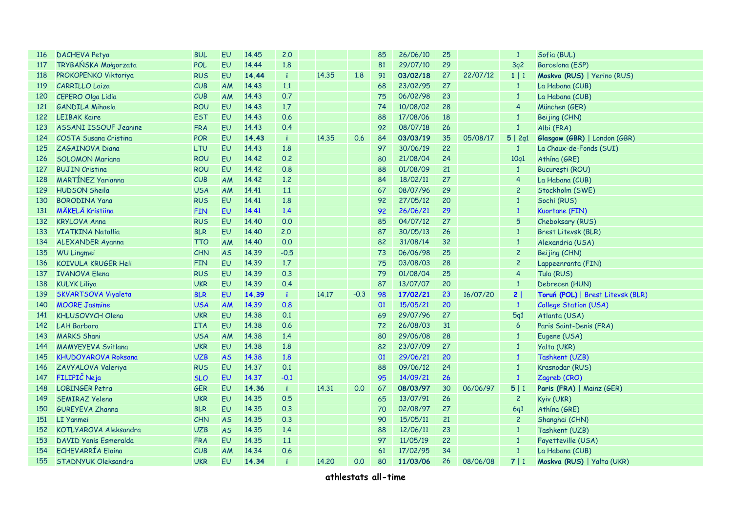| <b>116</b> | <b>DACHEVA Petya</b>         | <b>BUL</b> | EU        | 14.45 | 2.0          |       |        | 85 | 26/06/10 | 25 |          | $\mathbf{1}$            | Sofia (BUL)                       |
|------------|------------------------------|------------|-----------|-------|--------------|-------|--------|----|----------|----|----------|-------------------------|-----------------------------------|
| 117        | TRYBAŃSKA Małgorzata         | <b>POL</b> | EU        | 14.44 | 1.8          |       |        | 81 | 29/07/10 | 29 |          | 3q2                     | Barcelona (ESP)                   |
| 118        | PROKOPENKO Viktoriya         | <b>RUS</b> | <b>EU</b> | 14.44 | $\mathbf{i}$ | 14.35 | 1.8    | 91 | 03/02/18 | 27 | 22/07/12 | 1 1                     | Moskva (RUS)   Yerino (RUS)       |
| 119        | <b>CARRILLO Laiza</b>        | CUB        | AM        | 14.43 | 1.1          |       |        | 68 | 23/02/95 | 27 |          | $\mathbf{1}$            | La Habana (CUB)                   |
| 120        | <b>CEPERO Olga Lidia</b>     | CUB        | AM        | 14.43 | 0.7          |       |        | 75 | 06/02/98 | 23 |          | $\mathbf{1}$            | La Habana (CUB)                   |
| 121        | <b>GANDILA Mihaela</b>       | <b>ROU</b> | EU        | 14.43 | 1.7          |       |        | 74 | 10/08/02 | 28 |          | $\overline{\mathbf{4}}$ | München (GER)                     |
| 122        | <b>LEIBAK Kaire</b>          | <b>EST</b> | EU        | 14.43 | 0.6          |       |        | 88 | 17/08/06 | 18 |          | $\mathbf{1}$            | Beijing (CHN)                     |
| 123        | <b>ASSANI ISSOUF Jeanine</b> | <b>FRA</b> | EU        | 14.43 | 0.4          |       |        | 92 | 08/07/18 | 26 |          | $\overline{1}$          | Albi (FRA)                        |
| 124        | COSTA Susana Cristina        | <b>POR</b> | EU        | 14.43 | $\mathbf{i}$ | 14.35 | 0.6    | 84 | 03/03/19 | 35 | 05/08/17 | 5   2q1                 | Glasgow (GBR)   London (GBR)      |
| 125        | ZAGAINOVA Diana              | LTU        | EU        | 14.43 | 1.8          |       |        | 97 | 30/06/19 | 22 |          | $\overline{1}$          | La Chaux-de-Fonds (SUI)           |
| 126        | <b>SOLOMON Mariana</b>       | <b>ROU</b> | EU        | 14.42 | 0.2          |       |        | 80 | 21/08/04 | 24 |          | 10q1                    | Athína (GRE)                      |
| 127        | <b>BUJIN Cristina</b>        | <b>ROU</b> | EU        | 14.42 | 0.8          |       |        | 88 | 01/08/09 | 21 |          | $\mathbf{1}$            | București (ROU)                   |
| 128        | <b>MARTÍNEZ Yarianna</b>     | CUB        | AM        | 14.42 | 1,2          |       |        | 84 | 18/02/11 | 27 |          | $\overline{\mathbf{4}}$ | La Habana (CUB)                   |
| 129        | <b>HUDSON Sheila</b>         | <b>USA</b> | AM        | 14.41 | 1.1          |       |        | 67 | 08/07/96 | 29 |          | $\overline{c}$          | Stockholm (SWE)                   |
| 130        | <b>BORODINA Yana</b>         | <b>RUS</b> | EU        | 14.41 | 1.8          |       |        | 92 | 27/05/12 | 20 |          | $\mathbf{1}$            | Sochi (RUS)                       |
| 131        | <b>MÄKELÄ Kristiina</b>      | <b>FIN</b> | EU        | 14.41 | 1.4          |       |        | 92 | 26/06/21 | 29 |          | $\mathbf{1}$            | Kuortane (FIN)                    |
| 132        | <b>KRYLOVA Anna</b>          | <b>RUS</b> | <b>EU</b> | 14.40 | 0.0          |       |        | 85 | 04/07/12 | 27 |          | 5                       | Cheboksary (RUS)                  |
| 133        | <b>VIATKINA Natallia</b>     | <b>BLR</b> | EU        | 14.40 | 2.0          |       |        | 87 | 30/05/13 | 26 |          | $\mathbf{1}$            | Brest Litevsk (BLR)               |
| 134        | <b>ALEXANDER Ayanna</b>      | <b>TTO</b> | AM        | 14.40 | 0.0          |       |        | 82 | 31/08/14 | 32 |          | $\mathbf{1}$            | Alexandria (USA)                  |
| 135        | <b>WU Lingmei</b>            | CHN        | <b>AS</b> | 14.39 | $-0.5$       |       |        | 73 | 06/06/98 | 25 |          | $\overline{c}$          | Beijing (CHN)                     |
| 136        | KOIVULA KRUGER Heli          | <b>FIN</b> | EU        | 14.39 | 1.7          |       |        | 75 | 03/08/03 | 28 |          | $\overline{c}$          | Lappeenranta (FIN)                |
| 137        | <b>IVANOVA Elena</b>         | <b>RUS</b> | EU        | 14.39 | 0.3          |       |        | 79 | 01/08/04 | 25 |          | $\overline{\mathbf{4}}$ | Tula (RUS)                        |
| 138        | <b>KULYK Liliya</b>          | <b>UKR</b> | <b>EU</b> | 14.39 | 0.4          |       |        | 87 | 13/07/07 | 20 |          | $\mathbf{1}$            | Debrecen (HUN)                    |
| 139        | <b>SKVARTSOVA Viyaleta</b>   | <b>BLR</b> | <b>EU</b> | 14.39 | j.           | 14.17 | $-0.3$ | 98 | 17/02/21 | 23 | 16/07/20 | 2                       | Toruń (POL)   Brest Litevsk (BLR) |
| 140        | <b>MOORE Jasmine</b>         | <b>USA</b> | AM        | 14.39 | 0.8          |       |        | 01 | 15/05/21 | 20 |          | $\mathbf{1}$            | <b>College Station (USA)</b>      |
| 141        | <b>KHLUSOVYCH Olena</b>      | <b>UKR</b> | EU        | 14.38 | 0.1          |       |        | 69 | 29/07/96 | 27 |          | 5q1                     | Atlanta (USA)                     |
| 142        | <b>LAH Barbara</b>           | <b>ITA</b> | <b>EU</b> | 14.38 | 0.6          |       |        | 72 | 26/08/03 | 31 |          | 6                       | Paris Saint-Denis (FRA)           |
| 143        | <b>MARKS Shani</b>           | <b>USA</b> | AM        | 14.38 | 1.4          |       |        | 80 | 29/06/08 | 28 |          | $\mathbf{1}$            | Eugene (USA)                      |
| 144        | <b>MAMYEYEVA Svitlana</b>    | <b>UKR</b> | EU        | 14.38 | 1.8          |       |        | 82 | 23/07/09 | 27 |          | $\mathbf{1}$            | Yalta (UKR)                       |
| 145        | <b>KHUDOYAROVA Roksana</b>   | <b>UZB</b> | <b>AS</b> | 14.38 | 1.8          |       |        | 01 | 29/06/21 | 20 |          | $\mathbf{1}$            | Tashkent (UZB)                    |
| 146        | ZAVYALOVA Valeriya           | <b>RUS</b> | EU        | 14.37 | 0.1          |       |        | 88 | 09/06/12 | 24 |          | $\mathbf{1}$            | Krasnodar (RUS)                   |
| 147        | FILIPIČ Neja                 | <b>SLO</b> | EU        | 14.37 | $-0.1$       |       |        | 95 | 14/09/21 | 26 |          | $\mathbf{1}$            | Zagreb (CRO)                      |
| 148        | <b>LOBINGER Petra</b>        | GER        | EU        | 14.36 | $\mathbf{i}$ | 14,31 | 0.0    | 67 | 08/03/97 | 30 | 06/06/97 | 5 1                     | Paris (FRA)   Mainz (GER)         |
| 149        | <b>SEMIRAZ Yelena</b>        | <b>UKR</b> | EU        | 14.35 | 0.5          |       |        | 65 | 13/07/91 | 26 |          | $\overline{c}$          | Kyiv (UKR)                        |
| 150        | <b>GUREYEVA Zhanna</b>       | <b>BLR</b> | EU        | 14.35 | 0.3          |       |        | 70 | 02/08/97 | 27 |          | 6q1                     | Athína (GRE)                      |
| 151        | LI Yanmei                    | <b>CHN</b> | <b>AS</b> | 14.35 | 0.3          |       |        | 90 | 15/05/11 | 21 |          | $\overline{c}$          | Shanghai (CHN)                    |
| 152        | <b>KOTLYAROVA Aleksandra</b> | <b>UZB</b> | <b>AS</b> | 14.35 | 1.4          |       |        | 88 | 12/06/11 | 23 |          | $\mathbf{1}$            | Tashkent (UZB)                    |
| 153        | <b>DAVID Yanis Esmeralda</b> | <b>FRA</b> | EU        | 14.35 | 1.1          |       |        | 97 | 11/05/19 | 22 |          | $\mathbf{1}$            | Fayetteville (USA)                |
| 154        | <b>ECHEVARRÍA Eloina</b>     | CUB        | AM        | 14.34 | 0.6          |       |        | 61 | 17/02/95 | 34 |          | $\mathbf{1}$            | La Habana (CUB)                   |
| 155        | STADNYUK Oleksandra          | <b>UKR</b> | EU        | 14.34 |              | 14,20 | 0.0    | 80 | 11/03/06 | 26 | 08/06/08 | 7 1                     | Moskva (RUS)   Yalta (UKR)        |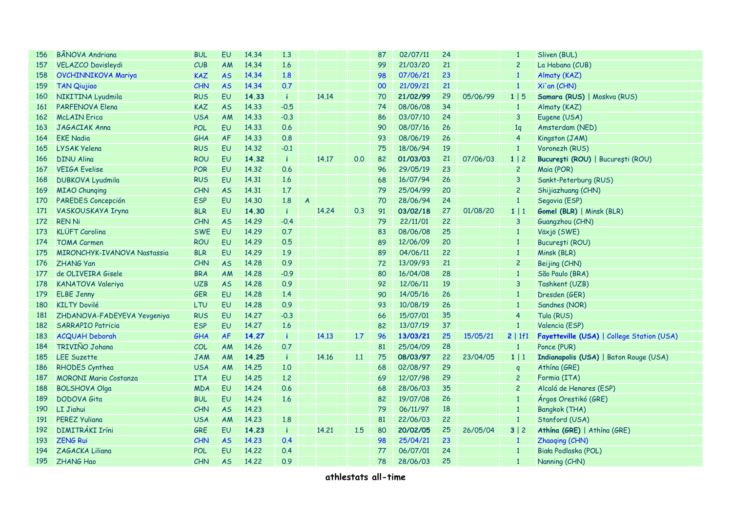| 156        | <b>BÂNOVA Andriana</b>       | <b>BUL</b> | <b>EU</b> | 14.34 | 1,3          |                  |       |     | 87 | 02/07/11 | 24 |          | $\mathbf{1}$   | Sliven (BUL)                               |
|------------|------------------------------|------------|-----------|-------|--------------|------------------|-------|-----|----|----------|----|----------|----------------|--------------------------------------------|
| 157        | <b>VELAZCO Davisleydi</b>    | CUB        | AM        | 14.34 | 1.6          |                  |       |     | 99 | 21/03/20 | 21 |          | $\overline{c}$ | La Habana (CUB)                            |
| 158        | <b>OVCHINNIKOVA Mariya</b>   | <b>KAZ</b> | <b>AS</b> | 14.34 | 1.8          |                  |       |     | 98 | 07/06/21 | 23 |          | $\mathbf{1}$   | Almaty (KAZ)                               |
| 159        | <b>TAN Qiujiao</b>           | CHN        | <b>AS</b> | 14.34 | 0.7          |                  |       |     | 00 | 21/09/21 | 21 |          | $\mathbf{1}$   | Xi'an (CHN)                                |
| 160        | NIKITINA Lyudmila            | <b>RUS</b> | EU        | 14.33 | $\mathbf{i}$ |                  | 14.14 |     | 70 | 21/02/99 | 29 | 05/06/99 | 1 5            | Samara (RUS)   Moskva (RUS)                |
| 161        | <b>PARFENOVA Elena</b>       | <b>KAZ</b> | <b>AS</b> | 14.33 | $-0.5$       |                  |       |     | 74 | 08/06/08 | 34 |          | $\mathbf{1}$   | Almaty (KAZ)                               |
| 162        | <b>McLAIN</b> Erica          | <b>USA</b> | AM        | 14.33 | $-0.3$       |                  |       |     | 86 | 03/07/10 | 24 |          | $\overline{3}$ | Eugene (USA)                               |
| 163        | JAGACIAK Anna                | <b>POL</b> | EU        | 14.33 | 0.6          |                  |       |     | 90 | 08/07/16 | 26 |          | 1q             | Amsterdam (NED)                            |
| 164        | <b>EKE Nadia</b>             | GHA        | <b>AF</b> | 14.33 | 0.8          |                  |       |     | 93 | 08/06/19 | 26 |          | $\overline{4}$ | Kingston (JAM)                             |
| 165        | <b>LYSAK Yelena</b>          | <b>RUS</b> | EU        | 14.32 | $-0.1$       |                  |       |     | 75 | 18/06/94 | 19 |          | $\mathbf{1}$   | Voronezh (RUS)                             |
| 166        | <b>DINU Alina</b>            | <b>ROU</b> | EU        | 14.32 | $\mathbf{i}$ |                  | 14,17 | 0.0 | 82 | 01/03/03 | 21 | 07/06/03 | 1 2            | București (ROU)   București (ROU)          |
| 167        | <b>VEIGA Evelise</b>         | <b>POR</b> | EU        | 14.32 | 0.6          |                  |       |     | 96 | 29/05/19 | 23 |          | $\overline{c}$ | Maia (POR)                                 |
| 168        | <b>DUBKOVA Lyudmila</b>      | <b>RUS</b> | EU        | 14.31 | 1.6          |                  |       |     | 68 | 16/07/94 | 26 |          | $\mathbf{3}$   | Sankt-Peterburg (RUS)                      |
| <b>169</b> | <b>MIAO Chunging</b>         | CHN        | <b>AS</b> | 14.31 | 1.7          |                  |       |     | 79 | 25/04/99 | 20 |          | $\overline{c}$ | Shijiazhuang (CHN)                         |
| 170        | PAREDES Concepción           | <b>ESP</b> | EU        | 14.30 | 1.8          | $\boldsymbol{A}$ |       |     | 70 | 28/06/94 | 24 |          | $\mathbf{1}$   | Segovia (ESP)                              |
| 171        | VASKOUSKAYA Iryna            | <b>BLR</b> | EU        | 14.30 | $\mathbf{i}$ |                  | 14.24 | 0.3 | 91 | 03/02/18 | 27 | 01/08/20 | $1 \mid 1$     | <b>Gomel (BLR)</b>   Minsk (BLR)           |
| 172        | <b>REN Ni</b>                | CHN        | <b>AS</b> | 14.29 | $-0.4$       |                  |       |     | 79 | 22/11/01 | 22 |          | $\mathbf{3}$   | Guangzhou (CHN)                            |
| 173        | <b>KLÜFT Carolina</b>        | <b>SWE</b> | EU        | 14.29 | 0.7          |                  |       |     | 83 | 08/06/08 | 25 |          | $\mathbf{1}$   | Växjö (SWE)                                |
| 174        | <b>TOMA Carmen</b>           | <b>ROU</b> | <b>EU</b> | 14.29 | 0.5          |                  |       |     | 89 | 12/06/09 | 20 |          | $\overline{1}$ | București (ROU)                            |
| 175        | MIRONCHYK-IVANOVA Nastassia  | <b>BLR</b> | <b>EU</b> | 14.29 | 1.9          |                  |       |     | 89 | 04/06/11 | 22 |          | $\mathbf{1}$   | Minsk (BLR)                                |
| 176        | ZHANG Yan                    | CHN        | <b>AS</b> | 14.28 | 0.9          |                  |       |     | 72 | 13/09/93 | 21 |          | $\overline{c}$ | Beijing (CHN)                              |
| 177        | de OLIVEIRA Gisele           | <b>BRA</b> | <b>AM</b> | 14.28 | $-0.9$       |                  |       |     | 80 | 16/04/08 | 28 |          | $\mathbf{1}$   | São Paulo (BRA)                            |
| 178        | <b>KANATOVA Valeriya</b>     | <b>UZB</b> | <b>AS</b> | 14.28 | 0.9          |                  |       |     | 92 | 12/06/11 | 19 |          | 3              | Tashkent (UZB)                             |
| 179        | <b>ELBE Jenny</b>            | <b>GER</b> | <b>EU</b> | 14.28 | 1.4          |                  |       |     | 90 | 14/05/16 | 26 |          | $\mathbf{1}$   | Dresden (GER)                              |
| 180        | <b>KILTY Dovilé</b>          | LTU        | EU        | 14.28 | 0.9          |                  |       |     | 93 | 10/08/19 | 26 |          | $\mathbf{1}$   | Sandnes (NOR)                              |
| 181        | ZHDANOVA-FADEYEVA Yevgeniya  | <b>RUS</b> | EU        | 14.27 | $-0.3$       |                  |       |     | 66 | 15/07/01 | 35 |          | 4              | Tula (RUS)                                 |
| 182        | <b>SARRAPIO Patricia</b>     | <b>ESP</b> | <b>EU</b> | 14.27 | 1.6          |                  |       |     | 82 | 13/07/19 | 37 |          | $\overline{1}$ | Valencia (ESP)                             |
| 183        | <b>ACQUAH Deborah</b>        | GHA        | <b>AF</b> | 14.27 | j.           |                  | 14.13 | 1.7 | 96 | 13/03/21 | 25 | 15/05/21 | 2   1f1        | Fayetteville (USA)   College Station (USA) |
| 184        | TRIVIÑO Johana               | COL        | AM        | 14.26 | 0.7          |                  |       |     | 81 | 25/04/09 | 28 |          | $\overline{1}$ | Ponce (PUR)                                |
| 185        | <b>LEE Suzette</b>           | <b>JAM</b> | AM        | 14.25 | $\mathbf{i}$ |                  | 14.16 | 1.1 | 75 | 08/03/97 | 22 | 23/04/05 | $1 \mid 1$     | Indianapolis (USA)   Baton Rouge (USA)     |
| 186        | RHODES Cynthea               | <b>USA</b> | AM        | 14.25 | 1.0          |                  |       |     | 68 | 02/08/97 | 29 |          | $\mathsf{q}$   | Athína (GRE)                               |
| 187        | <b>MORONI Maria Costanza</b> | <b>ITA</b> | EU        | 14.25 | 1.2          |                  |       |     | 69 | 12/07/98 | 29 |          | $\overline{c}$ | Formia (ITA)                               |
| 188        | <b>BOLSHOVA Olga</b>         | <b>MDA</b> | EU        | 14.24 | 0.6          |                  |       |     | 68 | 28/06/03 | 35 |          | $\overline{c}$ | Alcalá de Henares (ESP)                    |
| 189        | <b>DODOVA Gita</b>           | <b>BUL</b> | EU        | 14.24 | 1.6          |                  |       |     | 82 | 19/07/08 | 26 |          | $\mathbf{1}$   | Árgos Orestikó (GRE)                       |
| 190        | LI Jiahui                    | CHN        | <b>AS</b> | 14.23 |              |                  |       |     | 79 | 06/11/97 | 18 |          | $\overline{1}$ | <b>Bangkok (THA)</b>                       |
| 191        | <b>PEREZ Yuliana</b>         | <b>USA</b> | AM        | 14.23 | 1.8          |                  |       |     | 81 | 22/06/03 | 22 |          | $\overline{1}$ | Stanford (USA)                             |
| 192        | DIMITRÁKI Iríni              | GRE        | EU        | 14.23 | -i.          |                  | 14,21 | 1.5 | 80 | 20/02/05 | 25 | 26/05/04 | 3 2            | Athína (GRE)   Athína (GRE)                |
| 193        | <b>ZENG Rui</b>              | CHN        | <b>AS</b> | 14.23 | 0.4          |                  |       |     | 98 | 25/04/21 | 23 |          | $\mathbf{1}$   | Zhaoqing (CHN)                             |
| 194        | ZAGACKA Liliana              | <b>POL</b> | EU        | 14.22 | 0.4          |                  |       |     | 77 | 06/07/01 | 24 |          | $\mathbf{1}$   | Biała Podlaska (POL)                       |
| 195        | <b>ZHANG Hao</b>             | CHN        | <b>AS</b> | 14.22 | 0.9          |                  |       |     | 78 | 28/06/03 | 25 |          | $\mathbf{1}$   | Nanning (CHN)                              |
|            |                              |            |           |       |              |                  |       |     |    |          |    |          |                |                                            |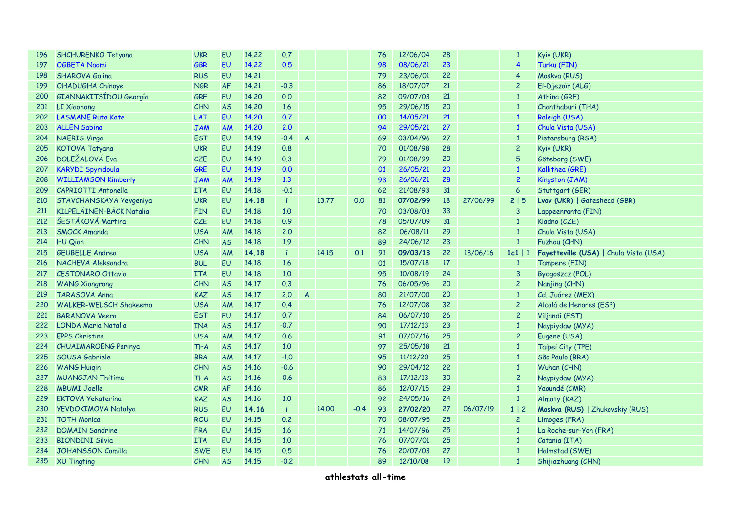| 196 | SHCHURENKO Tetyana              | <b>UKR</b> | EU        | 14.22 | 0.7          |                |       |        | 76 | 12/06/04 | 28 |          | $\mathbf{1}$    | Kyiv (UKR)                             |
|-----|---------------------------------|------------|-----------|-------|--------------|----------------|-------|--------|----|----------|----|----------|-----------------|----------------------------------------|
| 197 | <b>OGBETA Naomi</b>             | <b>GBR</b> | EU        | 14.22 | 0.5          |                |       |        | 98 | 08/06/21 | 23 |          | 4               | Turku (FIN)                            |
| 198 | <b>SHAROVA Galina</b>           | <b>RUS</b> | EU        | 14.21 |              |                |       |        | 79 | 23/06/01 | 22 |          | 4               | Moskva (RUS)                           |
| 199 | OHADUGHA Chinoye                | <b>NGR</b> | AF        | 14.21 | $-0.3$       |                |       |        | 86 | 18/07/07 | 21 |          | $\overline{c}$  | El-Djezaïr (ALG)                       |
| 200 | GIANNAKITSÍDOU Georgía          | <b>GRE</b> | EU        | 14.20 | 0.0          |                |       |        | 82 | 09/07/03 | 21 |          | $\mathbf{1}$    | Athína (GRE)                           |
| 201 | <b>LI Xiaohong</b>              | CHN        | <b>AS</b> | 14.20 | 1.6          |                |       |        | 95 | 29/06/15 | 20 |          | $\mathbf{1}$    | Chanthaburi (THA)                      |
| 202 | <b>LASMANE Ruta Kate</b>        | LAT        | EU        | 14.20 | 0.7          |                |       |        | 00 | 14/05/21 | 21 |          | $\mathbf{1}$    | Raleigh (USA)                          |
| 203 | <b>ALLEN Sabina</b>             | <b>JAM</b> | AM        | 14.20 | 2.0          |                |       |        | 94 | 29/05/21 | 27 |          | $\mathbf{1}$    | Chula Vista (USA)                      |
| 204 | <b>NAERIS Virge</b>             | <b>EST</b> | EU        | 14.19 | $-0.4$       | $\overline{A}$ |       |        | 69 | 03/04/96 | 27 |          | $\mathbf{1}$    | Pietersburg (RSA)                      |
| 205 | <b>KOTOVA Tatyana</b>           | <b>UKR</b> | EU        | 14.19 | 0.8          |                |       |        | 70 | 01/08/98 | 28 |          | $\overline{c}$  | Kyiv (UKR)                             |
| 206 | <b>DOLEŽALOVÁ Eva</b>           | <b>CZE</b> | EU        | 14.19 | 0.3          |                |       |        | 79 | 01/08/99 | 20 |          | $\overline{5}$  | Göteborg (SWE)                         |
| 207 | <b>KARYDI Spyridoula</b>        | GRE        | <b>EU</b> | 14.19 | 0.0          |                |       |        | 01 | 26/05/21 | 20 |          | $\mathbf{1}$    | Kallithea (GRE)                        |
| 208 | <b>WILLIAMSON Kimberly</b>      | <b>JAM</b> | AM        | 14.19 | 1.3          |                |       |        | 93 | 26/06/21 | 28 |          | $\overline{c}$  | Kingston (JAM)                         |
| 209 | <b>CAPRIOTTI Antonella</b>      | <b>ITA</b> | EU        | 14.18 | $-0.1$       |                |       |        | 62 | 21/08/93 | 31 |          | $6\phantom{1}6$ | Stuttgart (GER)                        |
| 210 | STAVCHANSKAYA Yevgeniya         | <b>UKR</b> | EU        | 14.18 | $\mathbf{i}$ |                | 13.77 | 0.0    | 81 | 07/02/99 | 18 | 27/06/99 | 2 5             | Lvov (UKR)   Gateshead (GBR)           |
| 211 | <b>KILPELÄINEN-BÄCK Natalia</b> | <b>FIN</b> | EU        | 14.18 | 1.0          |                |       |        | 70 | 03/08/03 | 33 |          | $\overline{3}$  | Lappeenranta (FIN)                     |
| 212 | ŠESTÁKOVÁ Martina               | <b>CZE</b> | EU        | 14.18 | 0.9          |                |       |        | 78 | 05/07/09 | 31 |          | $\mathbf{1}$    | Kladno (CZE)                           |
| 213 | <b>SMOCK Amanda</b>             | <b>USA</b> | <b>AM</b> | 14.18 | 2.0          |                |       |        | 82 | 06/08/11 | 29 |          | $\mathbf{1}$    | Chula Vista (USA)                      |
| 214 | HU Qian                         | CHN        | <b>AS</b> | 14.18 | 1.9          |                |       |        | 89 | 24/06/12 | 23 |          | $\mathbf{1}$    | Fuzhou (CHN)                           |
| 215 | <b>GEUBELLE Andrea</b>          | <b>USA</b> | AM        | 14.18 | $\mathbf{i}$ |                | 14.15 | 0.1    | 91 | 09/03/13 | 22 | 18/06/16 | $1c1$   1       | Fayetteville (USA)   Chula Vista (USA) |
| 216 | NACHEVA Aleksandra              | <b>BUL</b> | EU        | 14.18 | 1.6          |                |       |        | 01 | 15/07/18 | 17 |          | $\mathbf{1}$    | Tampere (FIN)                          |
| 217 | <b>CESTONARO Ottavia</b>        | <b>ITA</b> | EU        | 14.18 | 1.0          |                |       |        | 95 | 10/08/19 | 24 |          | 3               | Bydgoszcz (POL)                        |
| 218 | <b>WANG Xiangrong</b>           | CHN        | <b>AS</b> | 14.17 | 0.3          |                |       |        | 76 | 06/05/96 | 20 |          | $\overline{c}$  | Nanjing (CHN)                          |
| 219 | <b>TARASOVA Anna</b>            | <b>KAZ</b> | <b>AS</b> | 14.17 | 2.0          | $\overline{A}$ |       |        | 80 | 21/07/00 | 20 |          | $\mathbf{1}$    | Cd. Juárez (MEX)                       |
| 220 | <b>WALKER-WELSCH Shakeema</b>   | <b>USA</b> | AM        | 14.17 | 0.4          |                |       |        | 76 | 12/07/08 | 32 |          | $\overline{c}$  | Alcalá de Henares (ESP)                |
| 221 | <b>BARANOVA Veera</b>           | <b>EST</b> | EU        | 14.17 | 0.7          |                |       |        | 84 | 06/07/10 | 26 |          | $\overline{c}$  | Viljandi (EST)                         |
| 222 | <b>LONDA Maria Natalia</b>      | <b>INA</b> | <b>AS</b> | 14.17 | $-0.7$       |                |       |        | 90 | 17/12/13 | 23 |          | $\mathbf{1}$    | Naypiydaw (MYA)                        |
| 223 | <b>EPPS Christina</b>           | <b>USA</b> | AM        | 14,17 | 0.6          |                |       |        | 91 | 07/07/16 | 25 |          | $\overline{c}$  | Eugene (USA)                           |
| 224 | <b>CHUAIMAROENG Parinya</b>     | <b>THA</b> | <b>AS</b> | 14.17 | 1,0          |                |       |        | 97 | 25/05/18 | 21 |          | $\mathbf{1}$    | Taipei City (TPE)                      |
| 225 | SOUSA Gabriele                  | <b>BRA</b> | <b>AM</b> | 14.17 | $-1.0$       |                |       |        | 95 | 11/12/20 | 25 |          | $\mathbf{1}$    | São Paulo (BRA)                        |
| 226 | <b>WANG Huigin</b>              | <b>CHN</b> | <b>AS</b> | 14.16 | $-0.6$       |                |       |        | 90 | 29/04/12 | 22 |          | $\mathbf{1}$    | Wuhan (CHN)                            |
| 227 | <b>MUANGJAN Thitima</b>         | <b>THA</b> | <b>AS</b> | 14.16 | $-0.6$       |                |       |        | 83 | 17/12/13 | 30 |          | $\overline{c}$  | Naypiydaw (MYA)                        |
| 228 | <b>MBUMI Joelle</b>             | CMR        | <b>AF</b> | 14.16 |              |                |       |        | 86 | 12/07/15 | 29 |          | $\mathbf{1}$    | Yaoundé (CMR)                          |
| 229 | <b>EKTOVA Yekaterina</b>        | <b>KAZ</b> | <b>AS</b> | 14.16 | 1,0          |                |       |        | 92 | 24/05/16 | 24 |          | $\mathbf{1}$    | Almaty (KAZ)                           |
| 230 | YEVDOKIMOVA Natalya             | <b>RUS</b> | EU        | 14.16 | $\mathbf{i}$ |                | 14,00 | $-0.4$ | 93 | 27/02/20 | 27 | 06/07/19 | 1 2             | Moskva (RUS)   Zhukovskiy (RUS)        |
| 231 | <b>TOTH Monica</b>              | <b>ROU</b> | EU        | 14.15 | 0.2          |                |       |        | 70 | 08/07/95 | 25 |          | $\overline{c}$  | Limoges (FRA)                          |
| 232 | <b>DOMAIN Sandrine</b>          | <b>FRA</b> | EU        | 14.15 | 1.6          |                |       |        | 71 | 14/07/96 | 25 |          | $\mathbf{1}$    | La Roche-sur-Yon (FRA)                 |
| 233 | <b>BIONDINI Silvia</b>          | <b>ITA</b> | EU        | 14.15 | 1.0          |                |       |        | 76 | 07/07/01 | 25 |          | $\mathbf{1}$    | Catania (ITA)                          |
| 234 | <b>JOHANSSON Camilla</b>        | <b>SWE</b> | EU        | 14.15 | 0.5          |                |       |        | 76 | 20/07/03 | 27 |          | $\mathbf{1}$    | Halmstad (SWE)                         |
| 235 | XU Tingting                     | <b>CHN</b> | <b>AS</b> | 14.15 | $-0.2$       |                |       |        | 89 | 12/10/08 | 19 |          | $\mathbf{1}$    | Shijiazhuang (CHN)                     |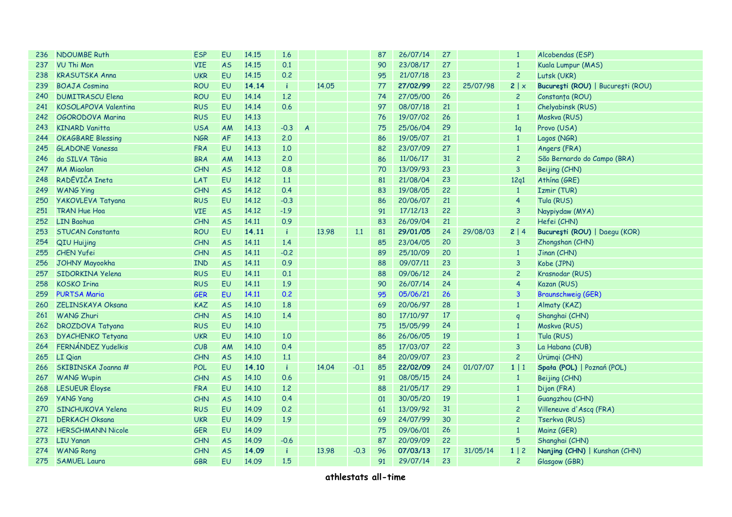| 236 | <b>NDOUMBE Ruth</b>      | <b>ESP</b> | EU        | 14.15 | 1.6          |                |       |        | 87 | 26/07/14 | 27 |          | $\mathbf{1}$   | Alcobendas (ESP)                  |
|-----|--------------------------|------------|-----------|-------|--------------|----------------|-------|--------|----|----------|----|----------|----------------|-----------------------------------|
| 237 | VU Thi Mon               | <b>VIE</b> | <b>AS</b> | 14.15 | 0.1          |                |       |        | 90 | 23/08/17 | 27 |          | $\mathbf{1}$   | Kuala Lumpur (MAS)                |
| 238 | <b>KRASUTSKA Anna</b>    | <b>UKR</b> | EU        | 14.15 | 0.2          |                |       |        | 95 | 21/07/18 | 23 |          | $\overline{c}$ | Lutsk (UKR)                       |
| 239 | <b>BOAJA Cosmina</b>     | <b>ROU</b> | EU        | 14.14 | -i.          |                | 14.05 |        | 77 | 27/02/99 | 22 | 25/07/98 | 2   x          | București (ROU)   București (ROU) |
| 240 | <b>DUMITRASCU Elena</b>  | <b>ROU</b> | EU        | 14.14 | 1,2          |                |       |        | 74 | 27/05/00 | 26 |          | $\overline{c}$ | Constanța (ROU)                   |
| 241 | KOSOLAPOVA Valentina     | <b>RUS</b> | EU        | 14.14 | 0.6          |                |       |        | 97 | 08/07/18 | 21 |          | $\mathbf{1}$   | Chelyabinsk (RUS)                 |
| 242 | OGORODOVA Marina         | <b>RUS</b> | EU        | 14.13 |              |                |       |        | 76 | 19/07/02 | 26 |          | $\mathbf{1}$   | Moskva (RUS)                      |
| 243 | <b>KINARD Vanitta</b>    | <b>USA</b> | AM        | 14.13 | $-0.3$       | $\overline{A}$ |       |        | 75 | 25/06/04 | 29 |          | 1q             | Provo (USA)                       |
| 244 | <b>OKAGBARE Blessing</b> | <b>NGR</b> | AF        | 14.13 | 2,0          |                |       |        | 86 | 19/05/07 | 21 |          | $\mathbf{1}$   | Lagos (NGR)                       |
| 245 | <b>GLADONE Vanessa</b>   | <b>FRA</b> | EU        | 14.13 | 1,0          |                |       |        | 82 | 23/07/09 | 27 |          | $\mathbf{1}$   | Angers (FRA)                      |
| 246 | da SILVA Tânia           | <b>BRA</b> | AM        | 14.13 | 2.0          |                |       |        | 86 | 11/06/17 | 31 |          | $\overline{c}$ | São Bernardo do Campo (BRA)       |
| 247 | <b>MA Migolan</b>        | CHN        | <b>AS</b> | 14.12 | 0.8          |                |       |        | 70 | 13/09/93 | 23 |          | $\overline{3}$ | Beijing (CHN)                     |
| 248 | RADĒVIČA Ineta           | LAT        | EU        | 14.12 | 1.1          |                |       |        | 81 | 21/08/04 | 23 |          | 12q1           | Athína (GRE)                      |
| 249 | <b>WANG Ying</b>         | CHN        | <b>AS</b> | 14.12 | 0.4          |                |       |        | 83 | 19/08/05 | 22 |          | $\mathbf{1}$   | Izmir (TUR)                       |
| 250 | <b>YAKOVLEVA Tatyana</b> | <b>RUS</b> | EU        | 14.12 | $-0.3$       |                |       |        | 86 | 20/06/07 | 21 |          | $\overline{4}$ | Tula (RUS)                        |
| 251 | <b>TRAN Hue Hoa</b>      | <b>VIE</b> | <b>AS</b> | 14.12 | $-1.9$       |                |       |        | 91 | 17/12/13 | 22 |          | $\overline{3}$ | Naypiydaw (MYA)                   |
| 252 | <b>LIN Baohua</b>        | CHN        | <b>AS</b> | 14.11 | 0.9          |                |       |        | 83 | 26/09/04 | 21 |          | $\overline{c}$ | Hefei (CHN)                       |
| 253 | <b>STUCAN Constanta</b>  | <b>ROU</b> | EU        | 14.11 | -i.          |                | 13.98 | 1.1    | 81 | 29/01/05 | 24 | 29/08/03 | 2 4            | București (ROU)   Daegu (KOR)     |
| 254 | QIU Huijing              | CHN        | <b>AS</b> | 14.11 | 1.4          |                |       |        | 85 | 23/04/05 | 20 |          | $\overline{3}$ | Zhongshan (CHN)                   |
| 255 | <b>CHEN Yufei</b>        | CHN        | <b>AS</b> | 14,11 | $-0.2$       |                |       |        | 89 | 25/10/09 | 20 |          | $\mathbf{1}$   | Jinan (CHN)                       |
| 256 | <b>JOHNY Mayookha</b>    | <b>IND</b> | <b>AS</b> | 14.11 | 0.9          |                |       |        | 88 | 09/07/11 | 23 |          | $\overline{3}$ | Kobe (JPN)                        |
| 257 | SIDORKINA Yelena         | <b>RUS</b> | EU        | 14,11 | 0.1          |                |       |        | 88 | 09/06/12 | 24 |          | $\overline{c}$ | Krasnodar (RUS)                   |
| 258 | <b>KOSKO Irina</b>       | <b>RUS</b> | EU        | 14.11 | 1.9          |                |       |        | 90 | 26/07/14 | 24 |          | $\overline{4}$ | Kazan (RUS)                       |
| 259 | <b>PURTSA Maria</b>      | <b>GER</b> | EU        | 14.11 | 0.2          |                |       |        | 95 | 05/06/21 | 26 |          | $\mathbf{3}$   | <b>Braunschweig (GER)</b>         |
| 260 | ZELINSKAYA Oksana        | <b>KAZ</b> | <b>AS</b> | 14.10 | 1.8          |                |       |        | 69 | 20/06/97 | 28 |          | $\mathbf{1}$   | Almaty (KAZ)                      |
| 261 | <b>WANG Zhuri</b>        | CHN        | <b>AS</b> | 14.10 | 1.4          |                |       |        | 80 | 17/10/97 | 17 |          | $\mathsf{q}$   | Shanghai (CHN)                    |
| 262 | <b>DROZDOVA Tatyana</b>  | <b>RUS</b> | EU        | 14.10 |              |                |       |        | 75 | 15/05/99 | 24 |          | $\mathbf{1}$   | Moskva (RUS)                      |
| 263 | <b>DYACHENKO Tetyana</b> | <b>UKR</b> | EU        | 14.10 | 1,0          |                |       |        | 86 | 26/06/05 | 19 |          | $\mathbf{1}$   | Tula (RUS)                        |
| 264 | FERNÁNDEZ Yudelkis       | CUB        | <b>AM</b> | 14.10 | 0.4          |                |       |        | 85 | 17/03/07 | 22 |          | $\overline{3}$ | La Habana (CUB)                   |
| 265 | LI Qian                  | CHN        | <b>AS</b> | 14.10 | 1.1          |                |       |        | 84 | 20/09/07 | 23 |          | $\overline{c}$ | Ürümqi (CHN)                      |
| 266 | SKIBINSKA Joanna #       | <b>POL</b> | EU        | 14.10 | $\mathbf{i}$ |                | 14.04 | $-0.1$ | 85 | 22/02/09 | 24 | 01/07/07 | $1 \mid 1$     | Spała (POL)   Poznań (POL)        |
| 267 | <b>WANG Wupin</b>        | CHN        | <b>AS</b> | 14.10 | 0.6          |                |       |        | 91 | 08/05/15 | 24 |          | $\mathbf{1}$   | Beijing (CHN)                     |
| 268 | LESUEUR Éloyse           | <b>FRA</b> | EU        | 14.10 | 1,2          |                |       |        | 88 | 21/05/17 | 29 |          | $\mathbf{1}$   | Dijon (FRA)                       |
| 269 | <b>YANG Yang</b>         | CHN        | <b>AS</b> | 14.10 | 0.4          |                |       |        | 01 | 30/05/20 | 19 |          | $\mathbf{1}$   | Guangzhou (CHN)                   |
| 270 | SINCHUKOVA Yelena        | <b>RUS</b> | EU        | 14.09 | 0.2          |                |       |        | 61 | 13/09/92 | 31 |          | $\overline{c}$ | Villeneuve d'Ascq (FRA)           |
| 271 | <b>DERKACH Oksana</b>    | <b>UKR</b> | EU        | 14.09 | 1.9          |                |       |        | 69 | 24/07/99 | 30 |          | $\overline{c}$ | Tserkva (RUS)                     |
| 272 | <b>HERSCHMANN Nicole</b> | <b>GER</b> | EU        | 14.09 |              |                |       |        | 75 | 09/06/01 | 26 |          | $\mathbf{1}$   | Mainz (GER)                       |
| 273 | <b>LIU Yanan</b>         | CHN        | <b>AS</b> | 14.09 | $-0.6$       |                |       |        | 87 | 20/09/09 | 22 |          | 5              | Shanghai (CHN)                    |
| 274 | <b>WANG Rong</b>         | CHN        | <b>AS</b> | 14.09 | -i           |                | 13.98 | $-0.3$ | 96 | 07/03/13 | 17 | 31/05/14 | $1 \mid 2$     | Nanjing (CHN)   Kunshan (CHN)     |
| 275 | <b>SAMUEL Laura</b>      | <b>GBR</b> | EU        | 14.09 | 1.5          |                |       |        | 91 | 29/07/14 | 23 |          | $\overline{c}$ | Glasgow (GBR)                     |